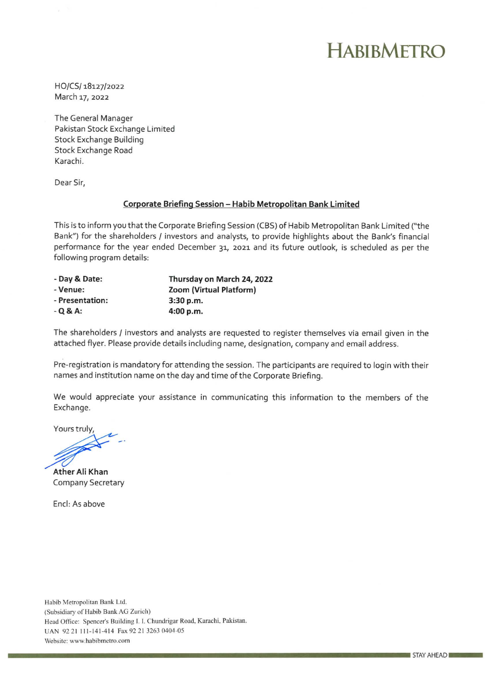## HABIBMETRO

HO/CS/18127/2022 March 17, 2022

The General Manager Pakistan Stock Exchange Limited Stock Exchange Building Stock Exchange Road Karachi.

Dear Sir,

## **Corporate Briefing Session -** Habib **Metropolitan Bank Limited**

This is to inform you that the Corporate Briefing Session (CBS) of Habib Metropolitan Bank Limited ("the Bank") for the shareholders / investors and analysts, to provide highlights about the Bank's financial performance for the year ended December 31, 2021 and its future outlook, is scheduled as per the following program details:

| - Day & Date:   | Thursday on March 24, 2022 |
|-----------------|----------------------------|
| - Venue:        | Zoom (Virtual Platform)    |
| - Presentation: | 3:30 p.m.                  |
| $-Q$ & A:       | 4:00 p.m.                  |

The shareholders / investors and analysts are requested to register themselves via email given in the attached flyer. Please provide details including name, designation, company and email address.

Pre-registration is mandatory for attending the session. The participants are required to login with their names and institution name on the day and time of the Corporate Briefing.

We would appreciate your assistance in communicating this information to the members of the Exchange.

Yours truly,

**Ather All Khan** Company Secretary

End: As above

Habib Metropolitan Bank Ltd. (Subsidiary of Habib Bank AG Zurich) Head Office: Spencer's Building 1.1. Chundrigar Road, Karachi, Pakistan. UAN 9221 111-141-414 Fax 92 21 3263 0404-05 Website: www.habibmetro.com